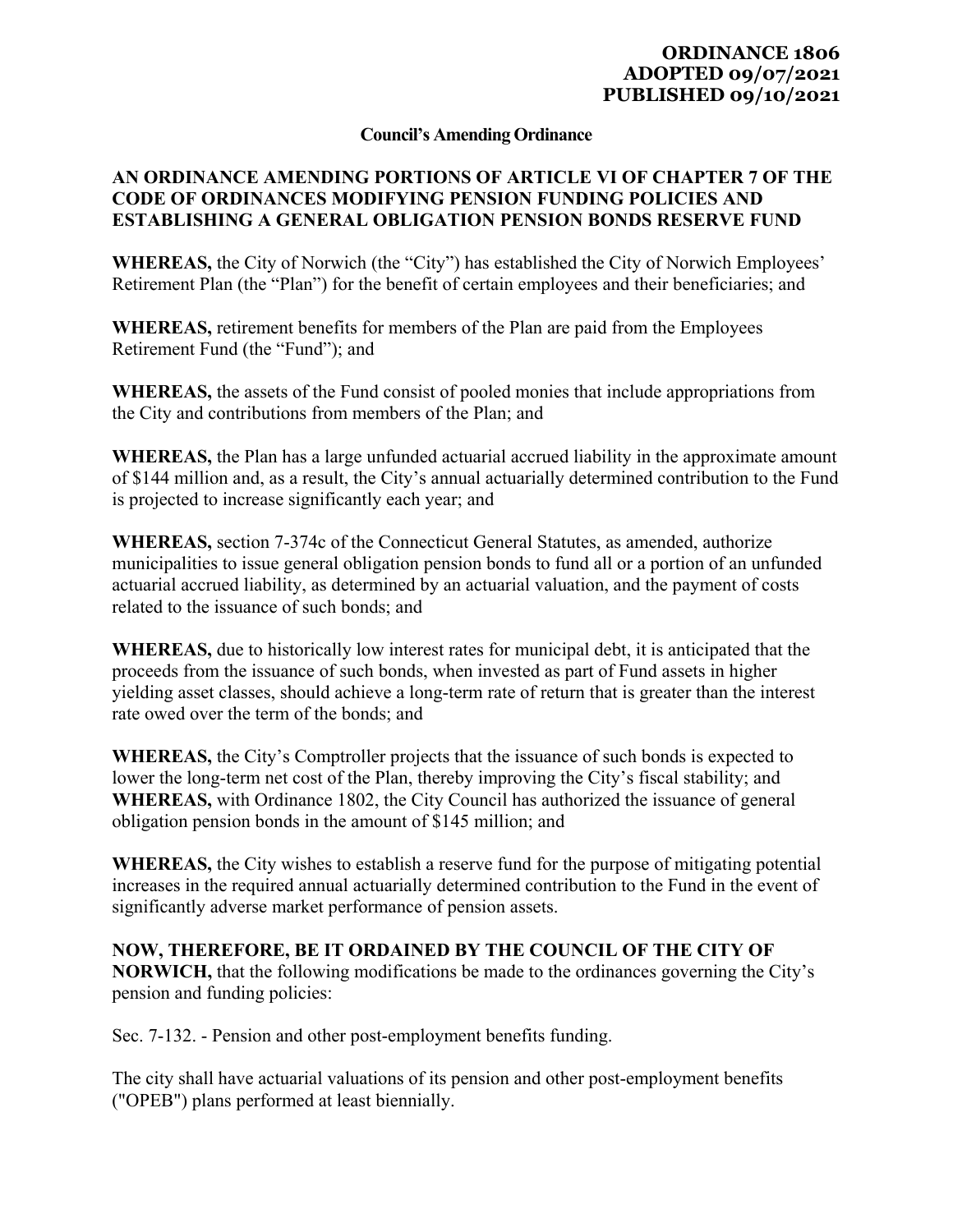## **ORDINANCE 1806 ADOPTED 09/07/2021 PUBLISHED 09/10/2021**

## **Council's Amending Ordinance**

## **AN ORDINANCE AMENDING PORTIONS OF ARTICLE VI OF CHAPTER 7 OF THE CODE OF ORDINANCES MODIFYING PENSION FUNDING POLICIES AND ESTABLISHING A GENERAL OBLIGATION PENSION BONDS RESERVE FUND**

**WHEREAS,** the City of Norwich (the "City") has established the City of Norwich Employees' Retirement Plan (the "Plan") for the benefit of certain employees and their beneficiaries; and

**WHEREAS,** retirement benefits for members of the Plan are paid from the Employees Retirement Fund (the "Fund"); and

**WHEREAS,** the assets of the Fund consist of pooled monies that include appropriations from the City and contributions from members of the Plan; and

**WHEREAS,** the Plan has a large unfunded actuarial accrued liability in the approximate amount of \$144 million and, as a result, the City's annual actuarially determined contribution to the Fund is projected to increase significantly each year; and

**WHEREAS,** section 7-374c of the Connecticut General Statutes, as amended, authorize municipalities to issue general obligation pension bonds to fund all or a portion of an unfunded actuarial accrued liability, as determined by an actuarial valuation, and the payment of costs related to the issuance of such bonds; and

**WHEREAS,** due to historically low interest rates for municipal debt, it is anticipated that the proceeds from the issuance of such bonds, when invested as part of Fund assets in higher yielding asset classes, should achieve a long-term rate of return that is greater than the interest rate owed over the term of the bonds; and

**WHEREAS,** the City's Comptroller projects that the issuance of such bonds is expected to lower the long-term net cost of the Plan, thereby improving the City's fiscal stability; and **WHEREAS,** with Ordinance 1802, the City Council has authorized the issuance of general obligation pension bonds in the amount of \$145 million; and

**WHEREAS,** the City wishes to establish a reserve fund for the purpose of mitigating potential increases in the required annual actuarially determined contribution to the Fund in the event of significantly adverse market performance of pension assets.

## **NOW, THEREFORE, BE IT ORDAINED BY THE COUNCIL OF THE CITY OF**

**NORWICH,** that the following modifications be made to the ordinances governing the City's pension and funding policies:

Sec. 7-132. - Pension and other post-employment benefits funding.

The city shall have actuarial valuations of its pension and other post-employment benefits ("OPEB") plans performed at least biennially.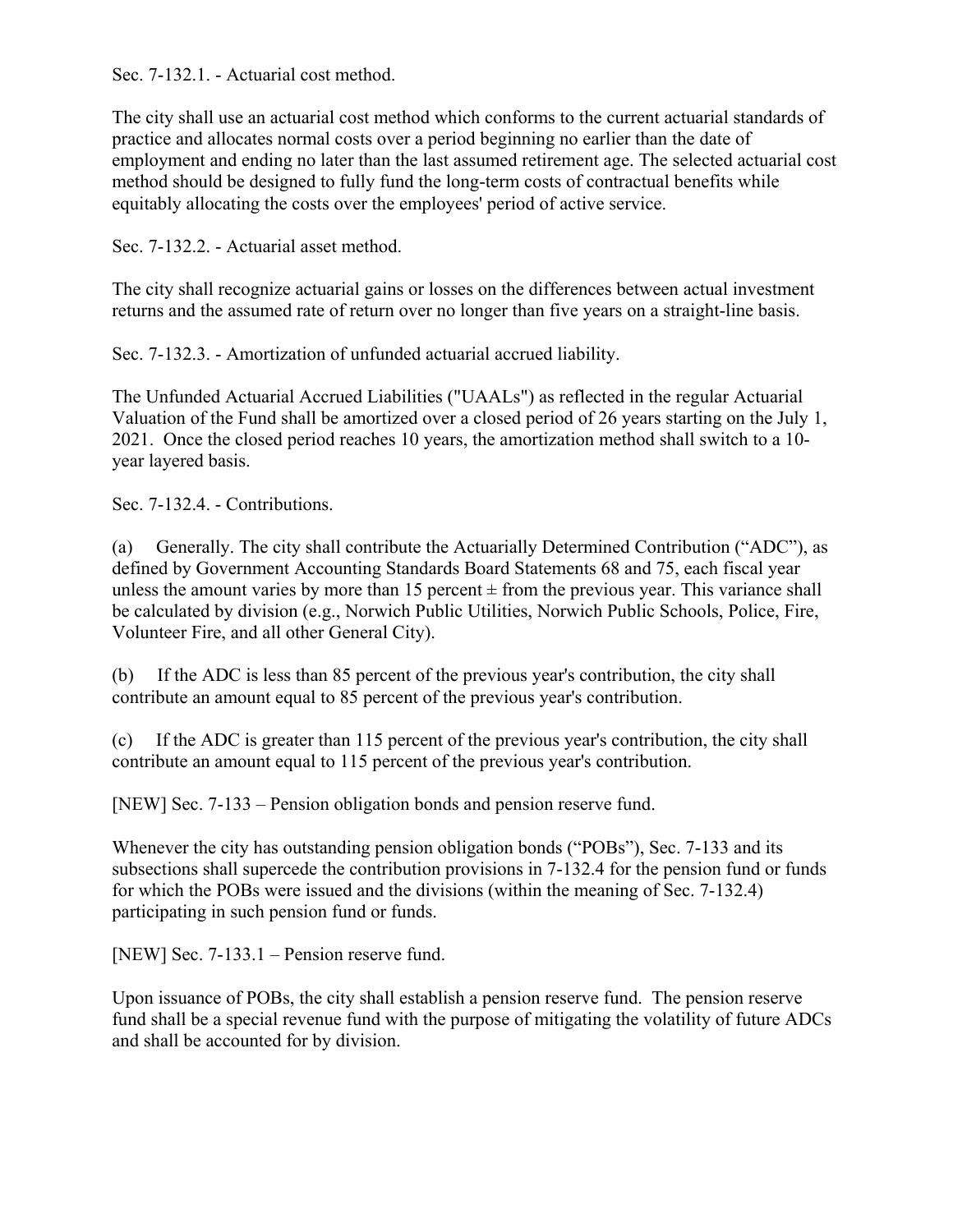Sec. 7-132.1. - Actuarial cost method.

The city shall use an actuarial cost method which conforms to the current actuarial standards of practice and allocates normal costs over a period beginning no earlier than the date of employment and ending no later than the last assumed retirement age. The selected actuarial cost method should be designed to fully fund the long-term costs of contractual benefits while equitably allocating the costs over the employees' period of active service.

Sec. 7-132.2. - Actuarial asset method.

The city shall recognize actuarial gains or losses on the differences between actual investment returns and the assumed rate of return over no longer than five years on a straight-line basis.

Sec. 7-132.3. - Amortization of unfunded actuarial accrued liability.

The Unfunded Actuarial Accrued Liabilities ("UAALs") as reflected in the regular Actuarial Valuation of the Fund shall be amortized over a closed period of 26 years starting on the July 1, 2021. Once the closed period reaches 10 years, the amortization method shall switch to a 10 year layered basis.

Sec. 7-132.4. - Contributions.

(a) Generally. The city shall contribute the Actuarially Determined Contribution ("ADC"), as defined by Government Accounting Standards Board Statements 68 and 75, each fiscal year unless the amount varies by more than 15 percent  $\pm$  from the previous year. This variance shall be calculated by division (e.g., Norwich Public Utilities, Norwich Public Schools, Police, Fire, Volunteer Fire, and all other General City).

(b) If the ADC is less than 85 percent of the previous year's contribution, the city shall contribute an amount equal to 85 percent of the previous year's contribution.

(c) If the ADC is greater than 115 percent of the previous year's contribution, the city shall contribute an amount equal to 115 percent of the previous year's contribution.

[NEW] Sec. 7-133 – Pension obligation bonds and pension reserve fund.

Whenever the city has outstanding pension obligation bonds ("POBs"), Sec. 7-133 and its subsections shall supercede the contribution provisions in 7-132.4 for the pension fund or funds for which the POBs were issued and the divisions (within the meaning of Sec. 7-132.4) participating in such pension fund or funds.

[NEW] Sec. 7-133.1 – Pension reserve fund.

Upon issuance of POBs, the city shall establish a pension reserve fund. The pension reserve fund shall be a special revenue fund with the purpose of mitigating the volatility of future ADCs and shall be accounted for by division.